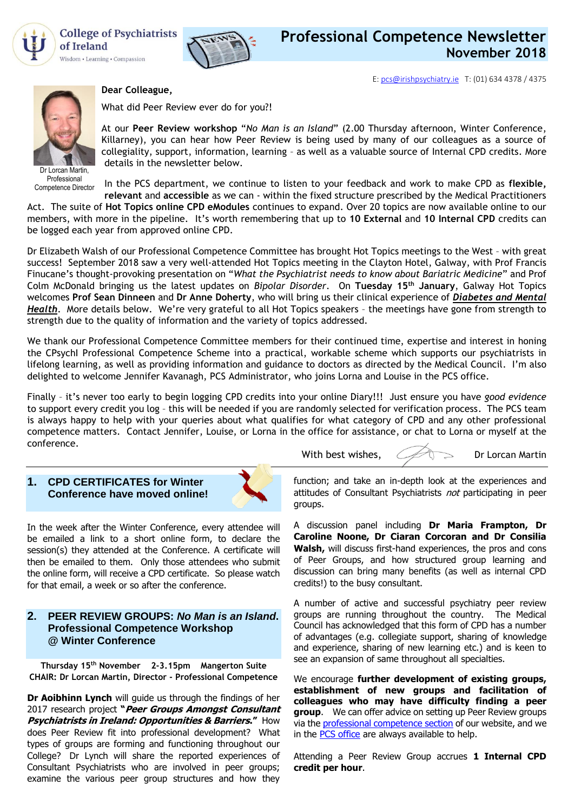

**College of Psychiatrists** of Ireland Wisdom • Learning • Compassion

**Dear Colleague,**



E[: pcs@irishpsychiatry.ie](mailto:pcs@irishpsychiatry.ie) T: (01) 634 4378 / 4375



Dr Lorcan Martin, Professional Competence Director

# What did Peer Review ever do for you?!

At our **Peer Review workshop** "*No Man is an Island*" (2.00 Thursday afternoon, Winter Conference, Killarney), you can hear how Peer Review is being used by many of our colleagues as a source of collegiality, support, information, learning – as well as a valuable source of Internal CPD credits. More details in the newsletter below.

In the PCS department, we continue to listen to your feedback and work to make CPD as **flexible,** 

**relevant** and **accessible** as we can - within the fixed structure prescribed by the Medical Practitioners Act. The suite of **Hot Topics online CPD eModules** continues to expand. Over 20 topics are now available online to our members, with more in the pipeline. It's worth remembering that up to **10 External** and **10 Internal CPD** credits can be logged each year from approved online CPD.

Dr Elizabeth Walsh of our Professional Competence Committee has brought Hot Topics meetings to the West – with great success! September 2018 saw a very well-attended Hot Topics meeting in the Clayton Hotel, Galway, with Prof Francis Finucane's thought-provoking presentation on "*What the Psychiatrist needs to know about Bariatric Medicine*" and Prof Colm McDonald bringing us the latest updates on *Bipolar Disorder*. On **Tuesday 15th January**, Galway Hot Topics welcomes **Prof Sean Dinneen** and **Dr Anne Doherty**, who will bring us their clinical experience of *Diabetes and Mental Health*. More details below. We're very grateful to all Hot Topics speakers – the meetings have gone from strength to strength due to the quality of information and the variety of topics addressed.

We thank our Professional Competence Committee members for their continued time, expertise and interest in honing the CPsychI Professional Competence Scheme into a practical, workable scheme which supports our psychiatrists in lifelong learning, as well as providing information and guidance to doctors as directed by the Medical Council. I'm also delighted to welcome Jennifer Kavanagh, PCS Administrator, who joins Lorna and Louise in the PCS office.

Finally – it's never too early to begin logging CPD credits into your online Diary!!! Just ensure you have *good evidence* to support every credit you log – this will be needed if you are randomly selected for verification process. The PCS team is always happy to help with your queries about what qualifies for what category of CPD and any other professional competence matters. Contact Jennifer, Louise, or Lorna in the office for assistance, or chat to Lorna or myself at the conference.

With best wishes,  $\mathcal{L}$  Dr Lorcan Martin

### **1. CPD CERTIFICATES for Winter Conference have moved online!**



In the week after the Winter Conference, every attendee will be emailed a link to a short online form, to declare the session(s) they attended at the Conference. A certificate will then be emailed to them. Only those attendees who submit the online form, will receive a CPD certificate. So please watch for that email, a week or so after the conference.

## **2. [PEER REVIEW GROUPS:](http://collegeofpsychiatryireland.newsweaver.co.uk/newsletter/1bcdch2t8xl13d8mgyqtf4?a=1&p=33459695&t=18724804)** *No Man is an Island***. Professional Competence Workshop @ Winter Conference**

**Thursday 15th November 2-3.15pm Mangerton Suite CHAIR: Dr Lorcan Martin, Director - Professional Competence**

**Dr Aoibhinn Lynch** will guide us through the findings of her 2017 research project **"Peer Groups Amongst Consultant Psychiatrists in Ireland: Opportunities & Barriers."** How does Peer Review fit into professional development? What types of groups are forming and functioning throughout our College? Dr Lynch will share the reported experiences of Consultant Psychiatrists who are involved in peer groups; examine the various peer group structures and how they

function; and take an in-depth look at the experiences and attitudes of Consultant Psychiatrists not participating in peer groups.

A discussion panel including **Dr Maria Frampton, Dr Caroline Noone, Dr Ciaran Corcoran and Dr Consilia Walsh,** will discuss first-hand experiences, the pros and cons of Peer Groups, and how structured group learning and discussion can bring many benefits (as well as internal CPD credits!) to the busy consultant.

A number of active and successful psychiatry peer review groups are running throughout the country. The Medical Council has acknowledged that this form of CPD has a number of advantages (e.g. collegiate support, sharing of knowledge and experience, sharing of new learning etc.) and is keen to see an expansion of same throughout all specialties.

We encourage **further development of existing groups, establishment of new groups and facilitation of colleagues who may have difficulty finding a peer group**. We can offer advice on setting up Peer Review groups via the [professional competence section](https://www.irishpsychiatry.ie/professional-competence/peer-review-groups/) of our website, and we in the [PCS office](mailto:louise@irishpsychiatry.ie?subject=Peer%20Review%20Groups) are always available to help.

Attending a Peer Review Group accrues **1 Internal CPD credit per hour**.